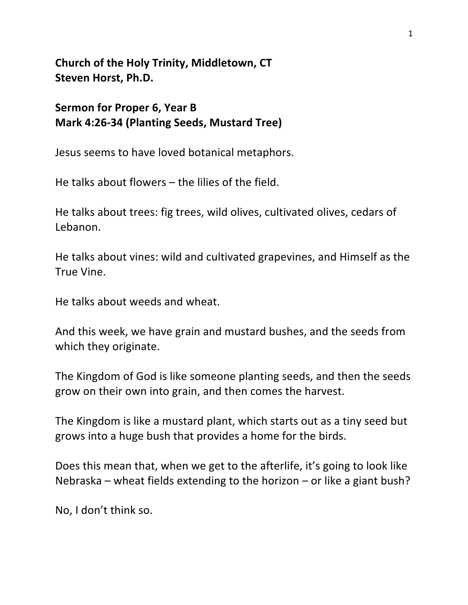**Church of the Holy Trinity, Middletown, CT Steven Horst, Ph.D.**

**Sermon for Proper 6, Year B Mark 4:26-34 (Planting Seeds, Mustard Tree)** 

Jesus seems to have loved botanical metaphors.

He talks about flowers  $-$  the lilies of the field.

He talks about trees: fig trees, wild olives, cultivated olives, cedars of Lebanon.

He talks about vines: wild and cultivated grapevines, and Himself as the True Vine.

He talks about weeds and wheat.

And this week, we have grain and mustard bushes, and the seeds from which they originate.

The Kingdom of God is like someone planting seeds, and then the seeds grow on their own into grain, and then comes the harvest.

The Kingdom is like a mustard plant, which starts out as a tiny seed but grows into a huge bush that provides a home for the birds.

Does this mean that, when we get to the afterlife, it's going to look like Nebraska – wheat fields extending to the horizon – or like a giant bush?

No, I don't think so.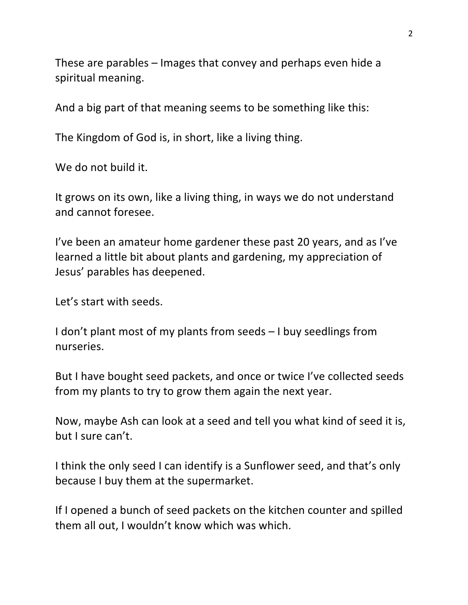These are parables  $-$  Images that convey and perhaps even hide a spiritual meaning.

And a big part of that meaning seems to be something like this:

The Kingdom of God is, in short, like a living thing.

We do not build it.

It grows on its own, like a living thing, in ways we do not understand and cannot foresee.

I've been an amateur home gardener these past 20 years, and as I've learned a little bit about plants and gardening, my appreciation of Jesus' parables has deepened.

Let's start with seeds.

I don't plant most of my plants from seeds  $-1$  buy seedlings from nurseries.

But I have bought seed packets, and once or twice I've collected seeds from my plants to try to grow them again the next year.

Now, maybe Ash can look at a seed and tell you what kind of seed it is, but I sure can't.

I think the only seed I can identify is a Sunflower seed, and that's only because I buy them at the supermarket.

If I opened a bunch of seed packets on the kitchen counter and spilled them all out, I wouldn't know which was which.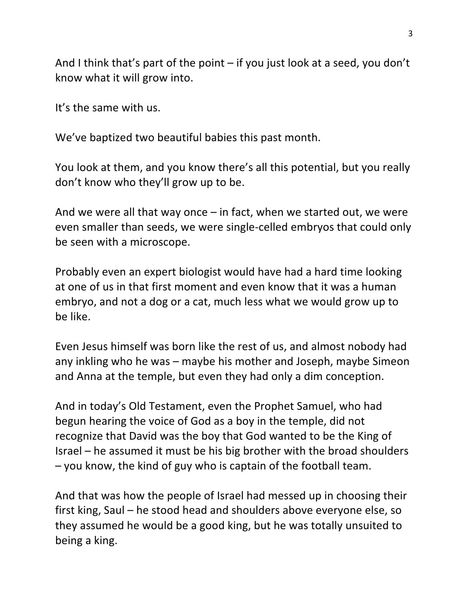And I think that's part of the point  $-$  if you just look at a seed, you don't know what it will grow into.

It's the same with us.

We've baptized two beautiful babies this past month.

You look at them, and you know there's all this potential, but you really don't know who they'll grow up to be.

And we were all that way once  $-$  in fact, when we started out, we were even smaller than seeds, we were single-celled embryos that could only be seen with a microscope.

Probably even an expert biologist would have had a hard time looking at one of us in that first moment and even know that it was a human embryo, and not a dog or a cat, much less what we would grow up to be like.

Even Jesus himself was born like the rest of us, and almost nobody had any inkling who he was  $-$  maybe his mother and Joseph, maybe Simeon and Anna at the temple, but even they had only a dim conception.

And in today's Old Testament, even the Prophet Samuel, who had begun hearing the voice of God as a boy in the temple, did not recognize that David was the boy that God wanted to be the King of Israel – he assumed it must be his big brother with the broad shoulders  $-$  you know, the kind of guy who is captain of the football team.

And that was how the people of Israel had messed up in choosing their first king, Saul – he stood head and shoulders above everyone else, so they assumed he would be a good king, but he was totally unsuited to being a king.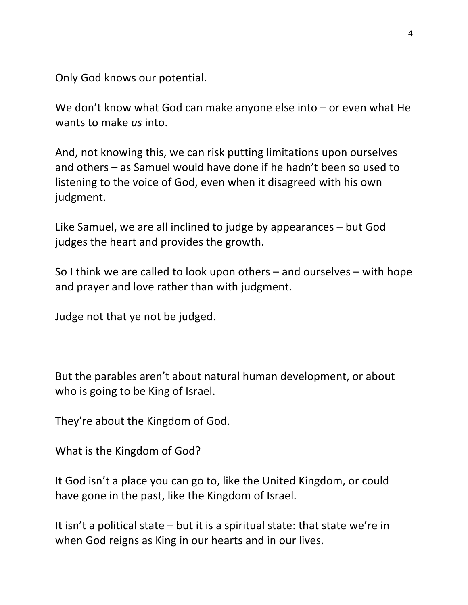Only God knows our potential.

We don't know what God can make anyone else into  $-$  or even what He wants to make us into.

And, not knowing this, we can risk putting limitations upon ourselves and others – as Samuel would have done if he hadn't been so used to listening to the voice of God, even when it disagreed with his own judgment.

Like Samuel, we are all inclined to judge by appearances  $-$  but God judges the heart and provides the growth.

So I think we are called to look upon others  $-$  and ourselves  $-$  with hope and prayer and love rather than with judgment.

Judge not that ye not be judged.

But the parables aren't about natural human development, or about who is going to be King of Israel.

They're about the Kingdom of God.

What is the Kingdom of God?

It God isn't a place you can go to, like the United Kingdom, or could have gone in the past, like the Kingdom of Israel.

It isn't a political state  $-$  but it is a spiritual state: that state we're in when God reigns as King in our hearts and in our lives.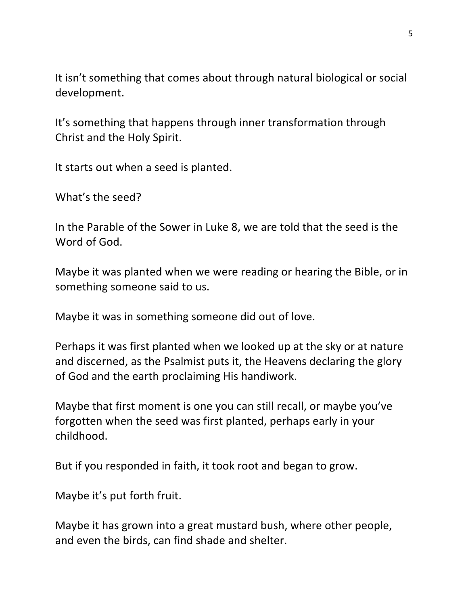It isn't something that comes about through natural biological or social development.

It's something that happens through inner transformation through Christ and the Holy Spirit.

It starts out when a seed is planted.

What's the seed?

In the Parable of the Sower in Luke 8, we are told that the seed is the Word of God.

Maybe it was planted when we were reading or hearing the Bible, or in something someone said to us.

Maybe it was in something someone did out of love.

Perhaps it was first planted when we looked up at the sky or at nature and discerned, as the Psalmist puts it, the Heavens declaring the glory of God and the earth proclaiming His handiwork.

Maybe that first moment is one you can still recall, or maybe you've forgotten when the seed was first planted, perhaps early in your childhood.

But if you responded in faith, it took root and began to grow.

Maybe it's put forth fruit.

Maybe it has grown into a great mustard bush, where other people, and even the birds, can find shade and shelter.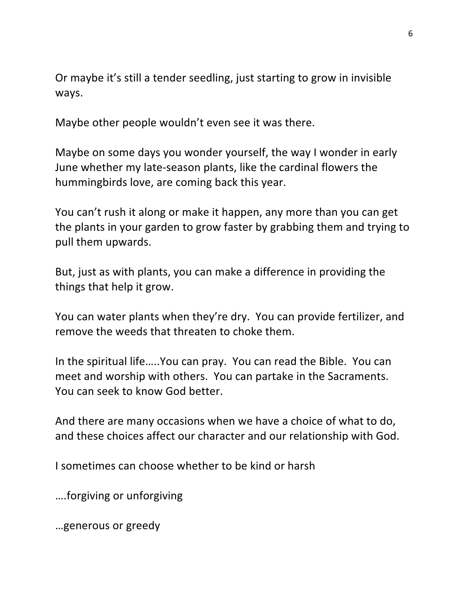Or maybe it's still a tender seedling, just starting to grow in invisible ways.

Maybe other people wouldn't even see it was there.

Maybe on some days you wonder yourself, the way I wonder in early June whether my late-season plants, like the cardinal flowers the hummingbirds love, are coming back this year.

You can't rush it along or make it happen, any more than you can get the plants in your garden to grow faster by grabbing them and trying to pull them upwards.

But, just as with plants, you can make a difference in providing the things that help it grow.

You can water plants when they're dry. You can provide fertilizer, and remove the weeds that threaten to choke them.

In the spiritual life…..You can pray. You can read the Bible. You can meet and worship with others. You can partake in the Sacraments. You can seek to know God better.

And there are many occasions when we have a choice of what to do, and these choices affect our character and our relationship with God.

I sometimes can choose whether to be kind or harsh

....forgiving or unforgiving

…generous or greedy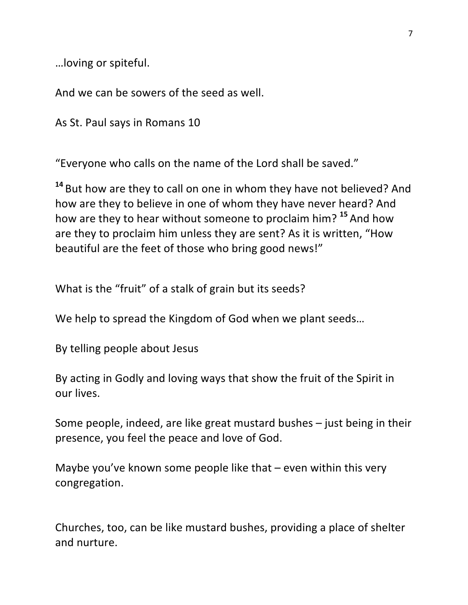... loving or spiteful.

And we can be sowers of the seed as well.

As St. Paul says in Romans 10

"Everyone who calls on the name of the Lord shall be saved."

<sup>14</sup> But how are they to call on one in whom they have not believed? And how are they to believe in one of whom they have never heard? And how are they to hear without someone to proclaim him? <sup>15</sup> And how are they to proclaim him unless they are sent? As it is written, "How beautiful are the feet of those who bring good news!"

What is the "fruit" of a stalk of grain but its seeds?

We help to spread the Kingdom of God when we plant seeds...

By telling people about Jesus

By acting in Godly and loving ways that show the fruit of the Spirit in our lives.

Some people, indeed, are like great mustard bushes  $-$  just being in their presence, you feel the peace and love of God.

Maybe you've known some people like that  $-$  even within this very congregation.

Churches, too, can be like mustard bushes, providing a place of shelter and nurture.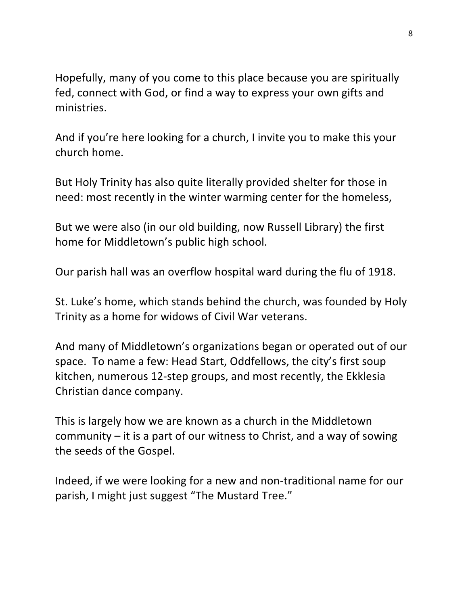Hopefully, many of you come to this place because you are spiritually fed, connect with God, or find a way to express your own gifts and ministries.

And if you're here looking for a church, I invite you to make this your church home.

But Holy Trinity has also quite literally provided shelter for those in need: most recently in the winter warming center for the homeless,

But we were also (in our old building, now Russell Library) the first home for Middletown's public high school.

Our parish hall was an overflow hospital ward during the flu of 1918.

St. Luke's home, which stands behind the church, was founded by Holy Trinity as a home for widows of Civil War veterans.

And many of Middletown's organizations began or operated out of our space. To name a few: Head Start, Oddfellows, the city's first soup kitchen, numerous 12-step groups, and most recently, the Ekklesia Christian dance company.

This is largely how we are known as a church in the Middletown community  $-$  it is a part of our witness to Christ, and a way of sowing the seeds of the Gospel.

Indeed, if we were looking for a new and non-traditional name for our parish, I might just suggest "The Mustard Tree."